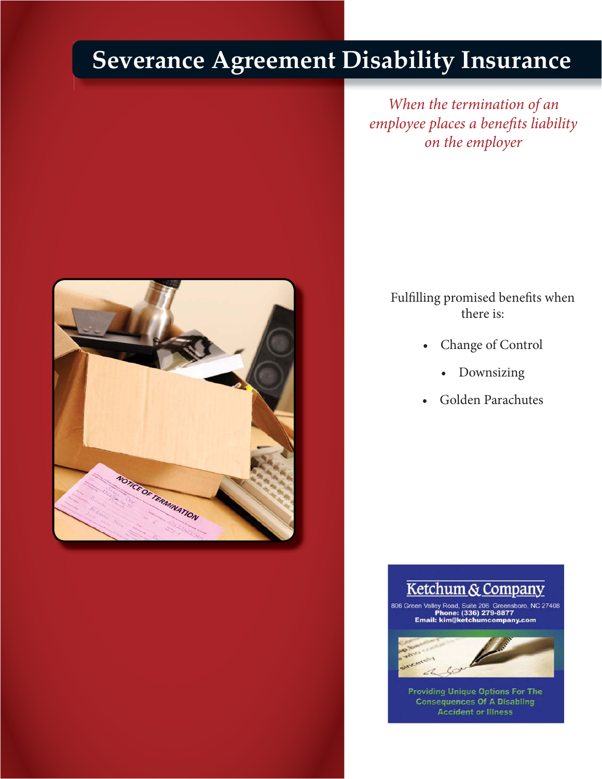# **Severance Agreement Disability Insurance**



*When the termination of an employee places a benefits liability on the employer*

> Fulfilling promised benefits when there is:

- Change of Control
	- Downsizing
- Golden Parachutes



806 Green Valley Road, Suite 206 Greensboro, NC 27408<br>Phone: (336) 279-8877<br>Email: kim@ketchumcompany.com



 $\mathcal{L}$  is the state of the state of the state of the state of the state of the state of the state of the state of the state of the state of the state of the state of the state of the state of the state of the state of t **Providing Unique Options For The<br>Consequences Of A Disabling<br>Accident or Illness**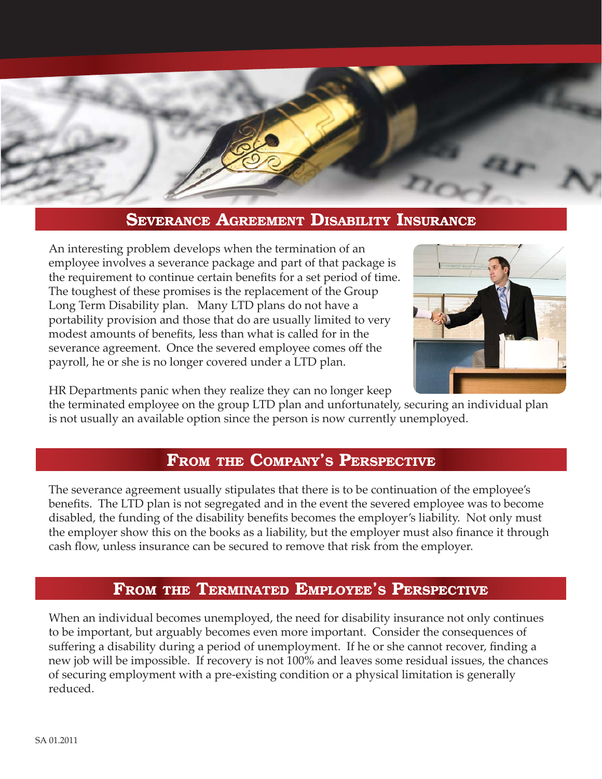

### **SEVERANCE AGREEMENT DISABILITY INSURANCE**

An interesting problem develops when the termination of an employee involves a severance package and part of that package is the requirement to continue certain benefits for a set period of time. The toughest of these promises is the replacement of the Group Long Term Disability plan. Many LTD plans do not have a portability provision and those that do are usually limited to very modest amounts of benefits, less than what is called for in the severance agreement. Once the severed employee comes off the payroll, he or she is no longer covered under a LTD plan.



HR Departments panic when they realize they can no longer keep

the terminated employee on the group LTD plan and unfortunately, securing an individual plan is not usually an available option since the person is now currently unemployed.

## **FROM THE COMPANY'S PERSPECTIVE**

The severance agreement usually stipulates that there is to be continuation of the employee's benefits. The LTD plan is not segregated and in the event the severed employee was to become disabled, the funding of the disability benefits becomes the employer's liability. Not only must the employer show this on the books as a liability, but the employer must also finance it through cash flow, unless insurance can be secured to remove that risk from the employer.

#### **FROM THE TERMINATED EMPLOYEE'S PERSPECTIVE**

When an individual becomes unemployed, the need for disability insurance not only continues to be important, but arguably becomes even more important. Consider the consequences of suffering a disability during a period of unemployment. If he or she cannot recover, finding a new job will be impossible. If recovery is not 100% and leaves some residual issues, the chances of securing employment with a pre-existing condition or a physical limitation is generally reduced.